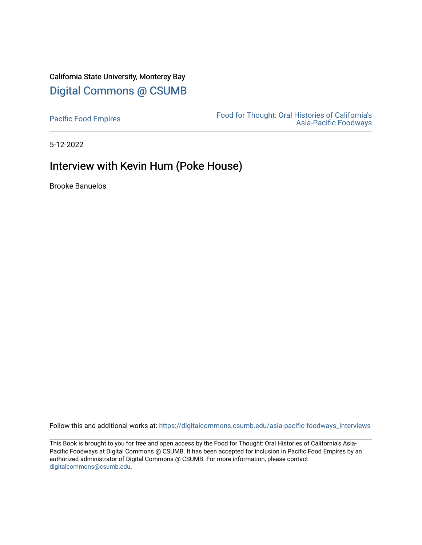# California State University, Monterey Bay [Digital Commons @ CSUMB](https://digitalcommons.csumb.edu/)

[Pacific Food Empires](https://digitalcommons.csumb.edu/asia-pacific-foodways_interviews) Food for Thought: Oral Histories of California's [Asia-Pacific Foodways](https://digitalcommons.csumb.edu/asia-pacific-foodways) 

5-12-2022

# Interview with Kevin Hum (Poke House)

Brooke Banuelos

Follow this and additional works at: [https://digitalcommons.csumb.edu/asia-pacific-foodways\\_interviews](https://digitalcommons.csumb.edu/asia-pacific-foodways_interviews?utm_source=digitalcommons.csumb.edu%2Fasia-pacific-foodways_interviews%2F16&utm_medium=PDF&utm_campaign=PDFCoverPages) 

This Book is brought to you for free and open access by the Food for Thought: Oral Histories of California's Asia-Pacific Foodways at Digital Commons @ CSUMB. It has been accepted for inclusion in Pacific Food Empires by an authorized administrator of Digital Commons @ CSUMB. For more information, please contact [digitalcommons@csumb.edu](mailto:digitalcommons@csumb.edu).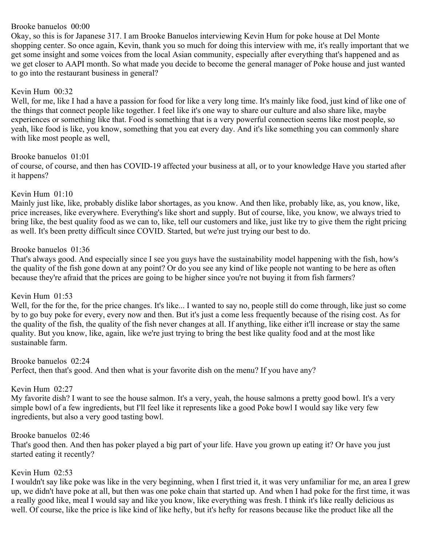#### Brooke banuelos 00:00

Okay, so this is for Japanese 317. I am Brooke Banuelos interviewing Kevin Hum for poke house at Del Monte shopping center. So once again, Kevin, thank you so much for doing this interview with me, it's really important that we get some insight and some voices from the local Asian community, especially after everything that's happened and as we get closer to AAPI month. So what made you decide to become the general manager of Poke house and just wanted to go into the restaurant business in general?

## Kevin Hum 00:32

Well, for me, like I had a have a passion for food for like a very long time. It's mainly like food, just kind of like one of the things that connect people like together. I feel like it's one way to share our culture and also share like, maybe experiences or something like that. Food is something that is a very powerful connection seems like most people, so yeah, like food is like, you know, something that you eat every day. And it's like something you can commonly share with like most people as well,

#### Brooke banuelos 01:01

of course, of course, and then has COVID-19 affected your business at all, or to your knowledge Have you started after it happens?

## Kevin Hum 01:10

Mainly just like, like, probably dislike labor shortages, as you know. And then like, probably like, as, you know, like, price increases, like everywhere. Everything's like short and supply. But of course, like, you know, we always tried to bring like, the best quality food as we can to, like, tell our customers and like, just like try to give them the right pricing as well. It's been pretty difficult since COVID. Started, but we're just trying our best to do.

## Brooke banuelos 01:36

That's always good. And especially since I see you guys have the sustainability model happening with the fish, how's the quality of the fish gone down at any point? Or do you see any kind of like people not wanting to be here as often because they're afraid that the prices are going to be higher since you're not buying it from fish farmers?

## Kevin Hum 01:53

Well, for the for the, for the price changes. It's like... I wanted to say no, people still do come through, like just so come by to go buy poke for every, every now and then. But it's just a come less frequently because of the rising cost. As for the quality of the fish, the quality of the fish never changes at all. If anything, like either it'll increase or stay the same quality. But you know, like, again, like we're just trying to bring the best like quality food and at the most like sustainable farm.

Brooke banuelos 02:24 Perfect, then that's good. And then what is your favorite dish on the menu? If you have any?

## Kevin Hum 02:27

My favorite dish? I want to see the house salmon. It's a very, yeah, the house salmons a pretty good bowl. It's a very simple bowl of a few ingredients, but I'll feel like it represents like a good Poke bowl I would say like very few ingredients, but also a very good tasting bowl.

#### Brooke banuelos 02:46

That's good then. And then has poker played a big part of your life. Have you grown up eating it? Or have you just started eating it recently?

## Kevin Hum 02:53

I wouldn't say like poke was like in the very beginning, when I first tried it, it was very unfamiliar for me, an area I grew up, we didn't have poke at all, but then was one poke chain that started up. And when I had poke for the first time, it was a really good like, meal I would say and like you know, like everything was fresh. I think it's like really delicious as well. Of course, like the price is like kind of like hefty, but it's hefty for reasons because like the product like all the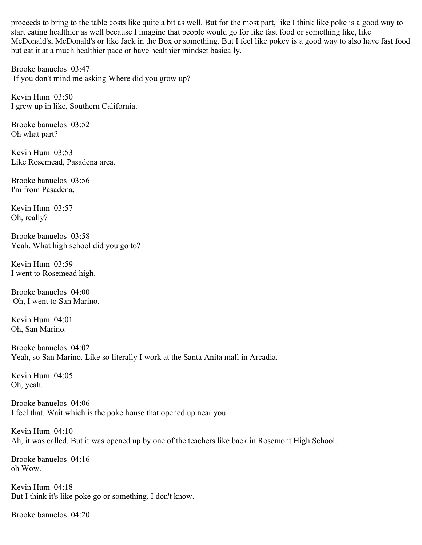proceeds to bring to the table costs like quite a bit as well. But for the most part, like I think like poke is a good way to start eating healthier as well because I imagine that people would go for like fast food or something like, like McDonald's, McDonald's or like Jack in the Box or something. But I feel like pokey is a good way to also have fast food but eat it at a much healthier pace or have healthier mindset basically.

Brooke banuelos 03:47 If you don't mind me asking Where did you grow up?

Kevin Hum 03:50 I grew up in like, Southern California.

Brooke banuelos 03:52 Oh what part?

Kevin Hum 03:53 Like Rosemead, Pasadena area.

Brooke banuelos 03:56 I'm from Pasadena.

Kevin Hum 03:57 Oh, really?

Brooke banuelos 03:58 Yeah. What high school did you go to?

Kevin Hum 03:59 I went to Rosemead high.

Brooke banuelos 04:00 Oh, I went to San Marino.

Kevin Hum 04:01 Oh, San Marino.

Brooke banuelos 04:02 Yeah, so San Marino. Like so literally I work at the Santa Anita mall in Arcadia.

Kevin Hum 04:05 Oh, yeah.

Brooke banuelos 04:06 I feel that. Wait which is the poke house that opened up near you.

Kevin Hum 04:10 Ah, it was called. But it was opened up by one of the teachers like back in Rosemont High School.

Brooke banuelos 04:16 oh Wow.

Kevin Hum 04:18 But I think it's like poke go or something. I don't know.

Brooke banuelos 04:20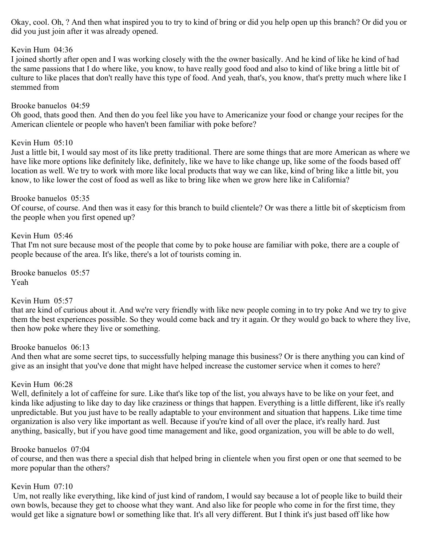Okay, cool. Oh, ? And then what inspired you to try to kind of bring or did you help open up this branch? Or did you or did you just join after it was already opened.

#### Kevin Hum 04:36

I joined shortly after open and I was working closely with the the owner basically. And he kind of like he kind of had the same passions that I do where like, you know, to have really good food and also to kind of like bring a little bit of culture to like places that don't really have this type of food. And yeah, that's, you know, that's pretty much where like I stemmed from

#### Brooke banuelos 04:59

Oh good, thats good then. And then do you feel like you have to Americanize your food or change your recipes for the American clientele or people who haven't been familiar with poke before?

## Kevin Hum 05:10

Just a little bit, I would say most of its like pretty traditional. There are some things that are more American as where we have like more options like definitely like, definitely, like we have to like change up, like some of the foods based off location as well. We try to work with more like local products that way we can like, kind of bring like a little bit, you know, to like lower the cost of food as well as like to bring like when we grow here like in California?

#### Brooke banuelos 05:35

Of course, of course. And then was it easy for this branch to build clientele? Or was there a little bit of skepticism from the people when you first opened up?

#### Kevin Hum 05:46

That I'm not sure because most of the people that come by to poke house are familiar with poke, there are a couple of people because of the area. It's like, there's a lot of tourists coming in.

Brooke banuelos 05:57 Yeah

## Kevin Hum 05:57

that are kind of curious about it. And we're very friendly with like new people coming in to try poke And we try to give them the best experiences possible. So they would come back and try it again. Or they would go back to where they live, then how poke where they live or something.

#### Brooke banuelos 06:13

And then what are some secret tips, to successfully helping manage this business? Or is there anything you can kind of give as an insight that you've done that might have helped increase the customer service when it comes to here?

## Kevin Hum 06:28

Well, definitely a lot of caffeine for sure. Like that's like top of the list, you always have to be like on your feet, and kinda like adjusting to like day to day like craziness or things that happen. Everything is a little different, like it's really unpredictable. But you just have to be really adaptable to your environment and situation that happens. Like time time organization is also very like important as well. Because if you're kind of all over the place, it's really hard. Just anything, basically, but if you have good time management and like, good organization, you will be able to do well,

#### Brooke banuelos 07:04

of course, and then was there a special dish that helped bring in clientele when you first open or one that seemed to be more popular than the others?

## Kevin Hum 07:10

 Um, not really like everything, like kind of just kind of random, I would say because a lot of people like to build their own bowls, because they get to choose what they want. And also like for people who come in for the first time, they would get like a signature bowl or something like that. It's all very different. But I think it's just based off like how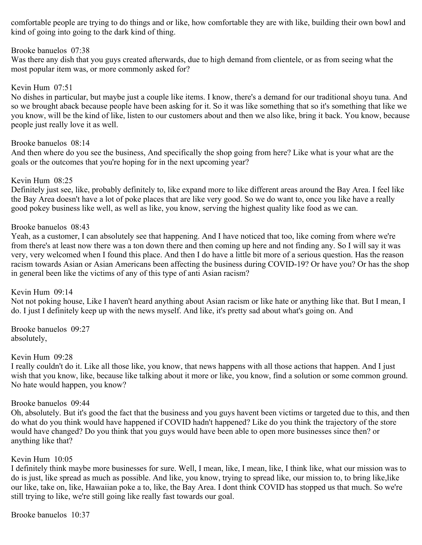comfortable people are trying to do things and or like, how comfortable they are with like, building their own bowl and kind of going into going to the dark kind of thing.

#### Brooke banuelos 07:38

Was there any dish that you guys created afterwards, due to high demand from clientele, or as from seeing what the most popular item was, or more commonly asked for?

#### Kevin Hum 07:51

No dishes in particular, but maybe just a couple like items. I know, there's a demand for our traditional shoyu tuna. And so we brought aback because people have been asking for it. So it was like something that so it's something that like we you know, will be the kind of like, listen to our customers about and then we also like, bring it back. You know, because people just really love it as well.

#### Brooke banuelos 08:14

And then where do you see the business, And specifically the shop going from here? Like what is your what are the goals or the outcomes that you're hoping for in the next upcoming year?

#### Kevin Hum 08:25

Definitely just see, like, probably definitely to, like expand more to like different areas around the Bay Area. I feel like the Bay Area doesn't have a lot of poke places that are like very good. So we do want to, once you like have a really good pokey business like well, as well as like, you know, serving the highest quality like food as we can.

#### Brooke banuelos 08:43

Yeah, as a customer, I can absolutely see that happening. And I have noticed that too, like coming from where we're from there's at least now there was a ton down there and then coming up here and not finding any. So I will say it was very, very welcomed when I found this place. And then I do have a little bit more of a serious question. Has the reason racism towards Asian or Asian Americans been affecting the business during COVID-19? Or have you? Or has the shop in general been like the victims of any of this type of anti Asian racism?

#### Kevin Hum 09:14

Not not poking house, Like I haven't heard anything about Asian racism or like hate or anything like that. But I mean, I do. I just I definitely keep up with the news myself. And like, it's pretty sad about what's going on. And

Brooke banuelos 09:27 absolutely,

## Kevin Hum 09:28

I really couldn't do it. Like all those like, you know, that news happens with all those actions that happen. And I just wish that you know, like, because like talking about it more or like, you know, find a solution or some common ground. No hate would happen, you know?

#### Brooke banuelos 09:44

Oh, absolutely. But it's good the fact that the business and you guys havent been victims or targeted due to this, and then do what do you think would have happened if COVID hadn't happened? Like do you think the trajectory of the store would have changed? Do you think that you guys would have been able to open more businesses since then? or anything like that?

## Kevin Hum 10:05

I definitely think maybe more businesses for sure. Well, I mean, like, I mean, like, I think like, what our mission was to do is just, like spread as much as possible. And like, you know, trying to spread like, our mission to, to bring like,like our like, take on, like, Hawaiian poke a to, like, the Bay Area. I dont think COVID has stopped us that much. So we're still trying to like, we're still going like really fast towards our goal.

Brooke banuelos 10:37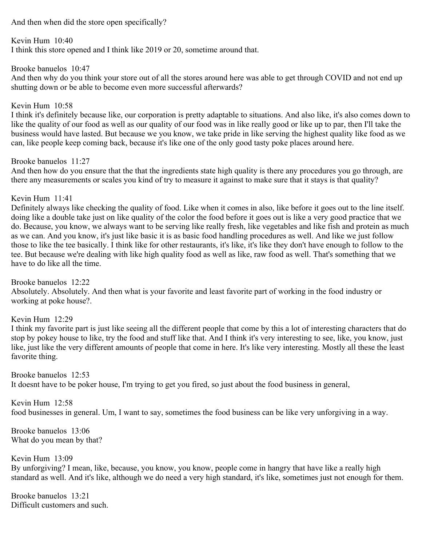And then when did the store open specifically?

Kevin Hum 10:40 I think this store opened and I think like 2019 or 20, sometime around that.

## Brooke banuelos 10:47

And then why do you think your store out of all the stores around here was able to get through COVID and not end up shutting down or be able to become even more successful afterwards?

# Kevin Hum 10:58

I think it's definitely because like, our corporation is pretty adaptable to situations. And also like, it's also comes down to like the quality of our food as well as our quality of our food was in like really good or like up to par, then I'll take the business would have lasted. But because we you know, we take pride in like serving the highest quality like food as we can, like people keep coming back, because it's like one of the only good tasty poke places around here.

## Brooke banuelos 11:27

And then how do you ensure that the that the ingredients state high quality is there any procedures you go through, are there any measurements or scales you kind of try to measure it against to make sure that it stays is that quality?

# Kevin Hum 11:41

Definitely always like checking the quality of food. Like when it comes in also, like before it goes out to the line itself. doing like a double take just on like quality of the color the food before it goes out is like a very good practice that we do. Because, you know, we always want to be serving like really fresh, like vegetables and like fish and protein as much as we can. And you know, it's just like basic it is as basic food handling procedures as well. And like we just follow those to like the tee basically. I think like for other restaurants, it's like, it's like they don't have enough to follow to the tee. But because we're dealing with like high quality food as well as like, raw food as well. That's something that we have to do like all the time.

Brooke banuelos 12:22 Absolutely. Absolutely. And then what is your favorite and least favorite part of working in the food industry or working at poke house?.

# Kevin Hum 12:29

I think my favorite part is just like seeing all the different people that come by this a lot of interesting characters that do stop by pokey house to like, try the food and stuff like that. And I think it's very interesting to see, like, you know, just like, just like the very different amounts of people that come in here. It's like very interesting. Mostly all these the least favorite thing.

Brooke banuelos 12:53 It doesnt have to be poker house, I'm trying to get you fired, so just about the food business in general,

Kevin Hum 12:58 food businesses in general. Um, I want to say, sometimes the food business can be like very unforgiving in a way.

Brooke banuelos 13:06 What do you mean by that?

Kevin Hum 13:09 By unforgiving? I mean, like, because, you know, you know, people come in hangry that have like a really high standard as well. And it's like, although we do need a very high standard, it's like, sometimes just not enough for them.

Brooke banuelos 13:21 Difficult customers and such.